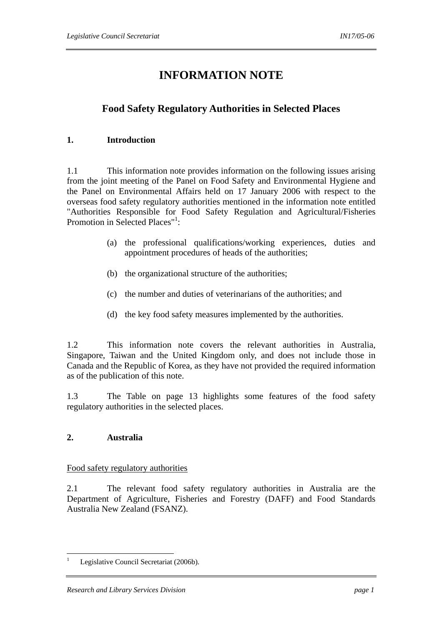# **INFORMATION NOTE**

# **Food Safety Regulatory Authorities in Selected Places**

## **1. Introduction**

1.1 This information note provides information on the following issues arising from the joint meeting of the Panel on Food Safety and Environmental Hygiene and the Panel on Environmental Affairs held on 17 January 2006 with respect to the overseas food safety regulatory authorities mentioned in the information note entitled "Authorities Responsible for Food Safety Regulation and Agricultural/Fisheries Promotion in Selected Places"<sup>1</sup>:

- (a) the professional qualifications/working experiences, duties and appointment procedures of heads of the authorities;
- (b) the organizational structure of the authorities;
- (c) the number and duties of veterinarians of the authorities; and
- (d) the key food safety measures implemented by the authorities.

1.2 This information note covers the relevant authorities in Australia, Singapore, Taiwan and the United Kingdom only, and does not include those in Canada and the Republic of Korea, as they have not provided the required information as of the publication of this note.

1.3 The Table on page 13 highlights some features of the food safety regulatory authorities in the selected places.

# **2. Australia**

#### Food safety regulatory authorities

2.1 The relevant food safety regulatory authorities in Australia are the Department of Agriculture, Fisheries and Forestry (DAFF) and Food Standards Australia New Zealand (FSANZ).

 $\frac{1}{1}$ Legislative Council Secretariat (2006b).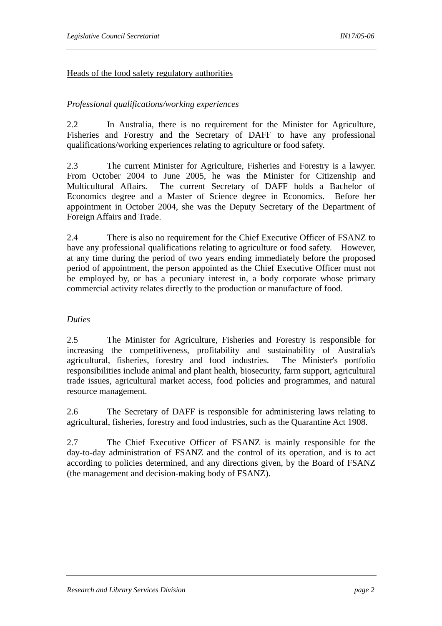## Heads of the food safety regulatory authorities

## *Professional qualifications/working experiences*

2.2 In Australia, there is no requirement for the Minister for Agriculture, Fisheries and Forestry and the Secretary of DAFF to have any professional qualifications/working experiences relating to agriculture or food safety.

2.3 The current Minister for Agriculture, Fisheries and Forestry is a lawyer. From October 2004 to June 2005, he was the Minister for Citizenship and Multicultural Affairs. The current Secretary of DAFF holds a Bachelor of Economics degree and a Master of Science degree in Economics. Before her appointment in October 2004, she was the Deputy Secretary of the Department of Foreign Affairs and Trade.

2.4 There is also no requirement for the Chief Executive Officer of FSANZ to have any professional qualifications relating to agriculture or food safety. However, at any time during the period of two years ending immediately before the proposed period of appointment, the person appointed as the Chief Executive Officer must not be employed by, or has a pecuniary interest in, a body corporate whose primary commercial activity relates directly to the production or manufacture of food.

#### *Duties*

2.5 The Minister for Agriculture, Fisheries and Forestry is responsible for increasing the competitiveness, profitability and sustainability of Australia's agricultural, fisheries, forestry and food industries. The Minister's portfolio responsibilities include animal and plant health, biosecurity, farm support, agricultural trade issues, agricultural market access, food policies and programmes, and natural resource management.

2.6 The Secretary of DAFF is responsible for administering laws relating to agricultural, fisheries, forestry and food industries, such as the Quarantine Act 1908.

2.7 The Chief Executive Officer of FSANZ is mainly responsible for the day-to-day administration of FSANZ and the control of its operation, and is to act according to policies determined, and any directions given, by the Board of FSANZ (the management and decision-making body of FSANZ).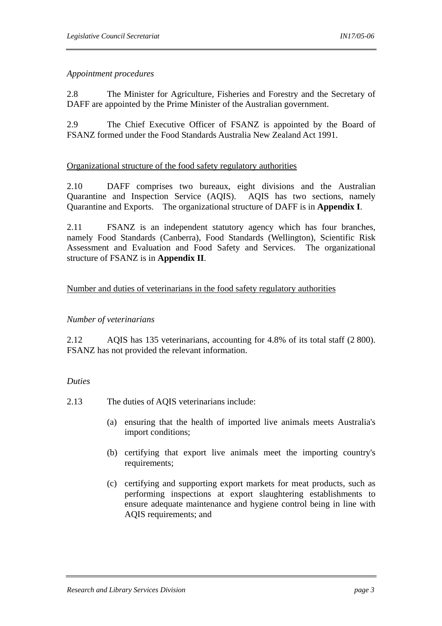## *Appointment procedures*

2.8 The Minister for Agriculture, Fisheries and Forestry and the Secretary of DAFF are appointed by the Prime Minister of the Australian government.

2.9 The Chief Executive Officer of FSANZ is appointed by the Board of FSANZ formed under the Food Standards Australia New Zealand Act 1991.

## Organizational structure of the food safety regulatory authorities

2.10 DAFF comprises two bureaux, eight divisions and the Australian Quarantine and Inspection Service (AQIS). AQIS has two sections, namely Quarantine and Exports. The organizational structure of DAFF is in **Appendix I**.

2.11 FSANZ is an independent statutory agency which has four branches, namely Food Standards (Canberra), Food Standards (Wellington), Scientific Risk Assessment and Evaluation and Food Safety and Services. The organizational structure of FSANZ is in **Appendix II**.

## Number and duties of veterinarians in the food safety regulatory authorities

#### *Number of veterinarians*

2.12 AQIS has 135 veterinarians, accounting for 4.8% of its total staff (2 800). FSANZ has not provided the relevant information.

#### *Duties*

2.13 The duties of AQIS veterinarians include:

- (a) ensuring that the health of imported live animals meets Australia's import conditions;
- (b) certifying that export live animals meet the importing country's requirements;
- (c) certifying and supporting export markets for meat products, such as performing inspections at export slaughtering establishments to ensure adequate maintenance and hygiene control being in line with AQIS requirements; and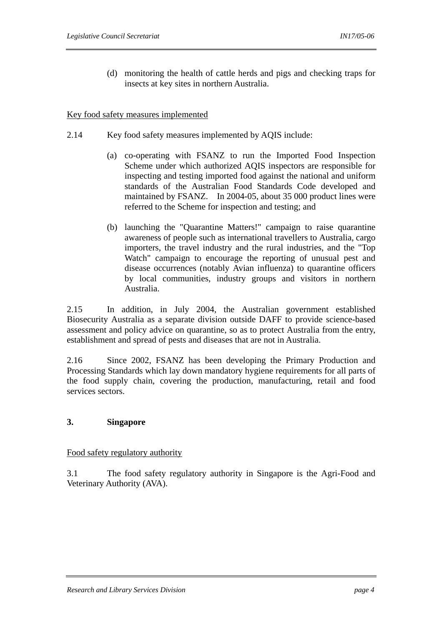(d) monitoring the health of cattle herds and pigs and checking traps for insects at key sites in northern Australia.

#### Key food safety measures implemented

- 2.14 Key food safety measures implemented by AOIS include:
	- (a) co-operating with FSANZ to run the Imported Food Inspection Scheme under which authorized AQIS inspectors are responsible for inspecting and testing imported food against the national and uniform standards of the Australian Food Standards Code developed and maintained by FSANZ. In 2004-05, about 35 000 product lines were referred to the Scheme for inspection and testing; and
	- (b) launching the "Quarantine Matters!" campaign to raise quarantine awareness of people such as international travellers to Australia, cargo importers, the travel industry and the rural industries, and the "Top Watch" campaign to encourage the reporting of unusual pest and disease occurrences (notably Avian influenza) to quarantine officers by local communities, industry groups and visitors in northern Australia.

2.15 In addition, in July 2004, the Australian government established Biosecurity Australia as a separate division outside DAFF to provide science-based assessment and policy advice on quarantine, so as to protect Australia from the entry, establishment and spread of pests and diseases that are not in Australia.

2.16 Since 2002, FSANZ has been developing the Primary Production and Processing Standards which lay down mandatory hygiene requirements for all parts of the food supply chain, covering the production, manufacturing, retail and food services sectors.

## **3. Singapore**

#### Food safety regulatory authority

3.1 The food safety regulatory authority in Singapore is the Agri-Food and Veterinary Authority (AVA).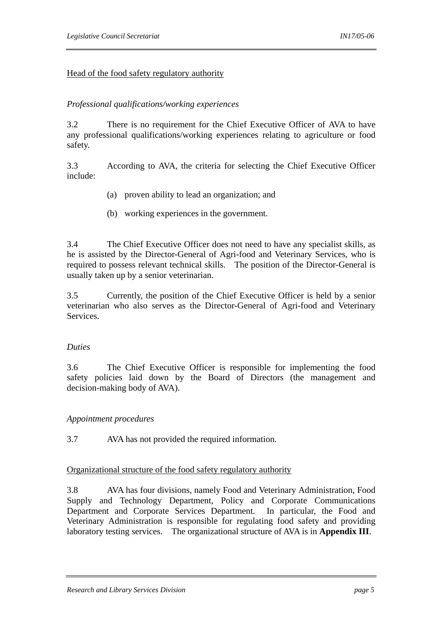## Head of the food safety regulatory authority

#### *Professional qualifications/working experiences*

3.2 There is no requirement for the Chief Executive Officer of AVA to have any professional qualifications/working experiences relating to agriculture or food safety.

3.3 According to AVA, the criteria for selecting the Chief Executive Officer include:

- (a) proven ability to lead an organization; and
- (b) working experiences in the government.

3.4 The Chief Executive Officer does not need to have any specialist skills, as he is assisted by the Director-General of Agri-food and Veterinary Services, who is required to possess relevant technical skills. The position of the Director-General is usually taken up by a senior veterinarian.

3.5 Currently, the position of the Chief Executive Officer is held by a senior veterinarian who also serves as the Director-General of Agri-food and Veterinary **Services** 

#### *Duties*

3.6 The Chief Executive Officer is responsible for implementing the food safety policies laid down by the Board of Directors (the management and decision-making body of AVA).

#### *Appointment procedures*

3.7 AVA has not provided the required information.

#### Organizational structure of the food safety regulatory authority

3.8 AVA has four divisions, namely Food and Veterinary Administration, Food Supply and Technology Department, Policy and Corporate Communications Department and Corporate Services Department. In particular, the Food and Veterinary Administration is responsible for regulating food safety and providing laboratory testing services. The organizational structure of AVA is in **Appendix III**.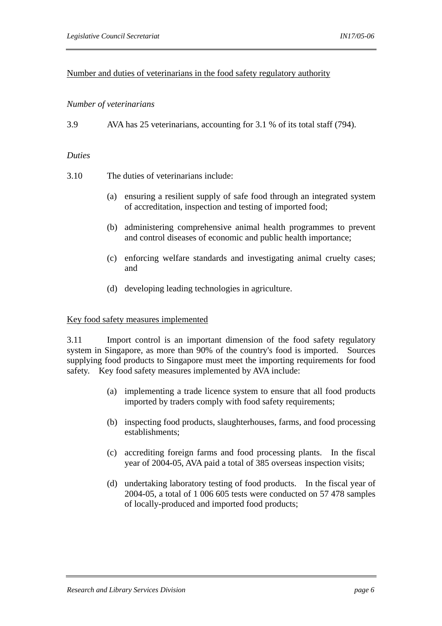## Number and duties of veterinarians in the food safety regulatory authority

#### *Number of veterinarians*

3.9 AVA has 25 veterinarians, accounting for 3.1 % of its total staff (794).

#### *Duties*

3.10 The duties of veterinarians include:

- (a) ensuring a resilient supply of safe food through an integrated system of accreditation, inspection and testing of imported food;
- (b) administering comprehensive animal health programmes to prevent and control diseases of economic and public health importance;
- (c) enforcing welfare standards and investigating animal cruelty cases; and
- (d) developing leading technologies in agriculture.

#### Key food safety measures implemented

3.11 Import control is an important dimension of the food safety regulatory system in Singapore, as more than 90% of the country's food is imported. Sources supplying food products to Singapore must meet the importing requirements for food safety. Key food safety measures implemented by AVA include:

- (a) implementing a trade licence system to ensure that all food products imported by traders comply with food safety requirements;
- (b) inspecting food products, slaughterhouses, farms, and food processing establishments;
- (c) accrediting foreign farms and food processing plants. In the fiscal year of 2004-05, AVA paid a total of 385 overseas inspection visits;
- (d) undertaking laboratory testing of food products. In the fiscal year of 2004-05, a total of 1 006 605 tests were conducted on 57 478 samples of locally-produced and imported food products;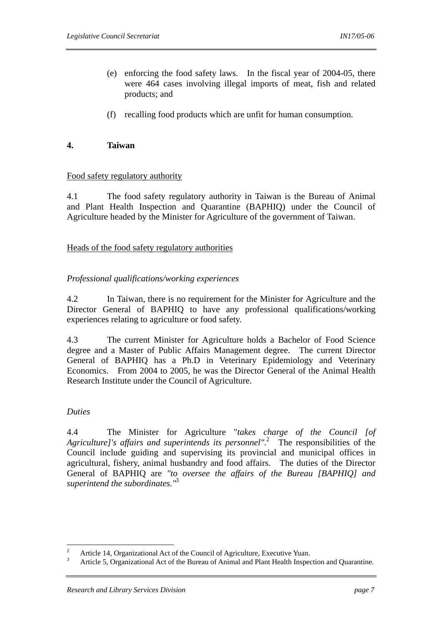- (e) enforcing the food safety laws. In the fiscal year of 2004-05, there were 464 cases involving illegal imports of meat, fish and related products; and
- (f) recalling food products which are unfit for human consumption.

#### **4. Taiwan**

#### Food safety regulatory authority

4.1 The food safety regulatory authority in Taiwan is the Bureau of Animal and Plant Health Inspection and Quarantine (BAPHIQ) under the Council of Agriculture headed by the Minister for Agriculture of the government of Taiwan.

#### Heads of the food safety regulatory authorities

#### *Professional qualifications/working experiences*

4.2 In Taiwan, there is no requirement for the Minister for Agriculture and the Director General of BAPHIQ to have any professional qualifications/working experiences relating to agriculture or food safety.

4.3 The current Minister for Agriculture holds a Bachelor of Food Science degree and a Master of Public Affairs Management degree. The current Director General of BAPHIQ has a Ph.D in Veterinary Epidemiology and Veterinary Economics. From 2004 to 2005, he was the Director General of the Animal Health Research Institute under the Council of Agriculture.

## *Duties*

4.4 The Minister for Agriculture "*takes charge of the Council [of*  Agriculture]'s affairs and superintends its personnel".<sup>2</sup> The responsibilities of the Council include guiding and supervising its provincial and municipal offices in agricultural, fishery, animal husbandry and food affairs. The duties of the Director General of BAPHIQ are *"to oversee the affairs of the Bureau [BAPHIQ] and superintend the subordinates."*<sup>3</sup>

 $\frac{1}{2}$ Article 14, Organizational Act of the Council of Agriculture, Executive Yuan.

<sup>3</sup> Article 5, Organizational Act of the Bureau of Animal and Plant Health Inspection and Quarantine.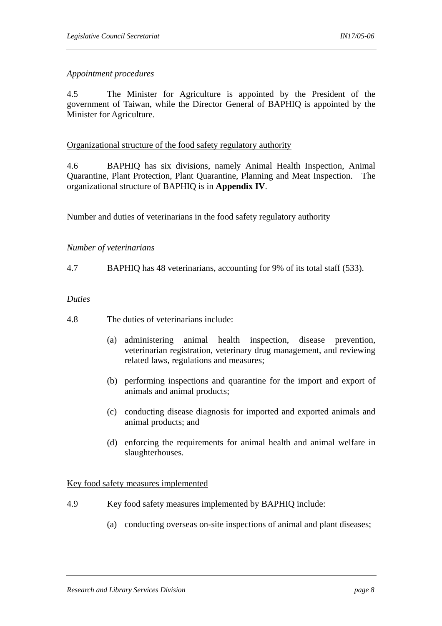#### *Appointment procedures*

4.5 The Minister for Agriculture is appointed by the President of the government of Taiwan, while the Director General of BAPHIQ is appointed by the Minister for Agriculture.

#### Organizational structure of the food safety regulatory authority

4.6 BAPHIQ has six divisions, namely Animal Health Inspection, Animal Quarantine, Plant Protection, Plant Quarantine, Planning and Meat Inspection. The organizational structure of BAPHIQ is in **Appendix IV**.

Number and duties of veterinarians in the food safety regulatory authority

## *Number of veterinarians*

4.7 BAPHIQ has 48 veterinarians, accounting for 9% of its total staff (533).

#### *Duties*

- 4.8 The duties of veterinarians include:
	- (a) administering animal health inspection, disease prevention, veterinarian registration, veterinary drug management, and reviewing related laws, regulations and measures;
	- (b) performing inspections and quarantine for the import and export of animals and animal products;
	- (c) conducting disease diagnosis for imported and exported animals and animal products; and
	- (d) enforcing the requirements for animal health and animal welfare in slaughterhouses.

#### Key food safety measures implemented

- 4.9 Key food safety measures implemented by BAPHIQ include:
	- (a) conducting overseas on-site inspections of animal and plant diseases;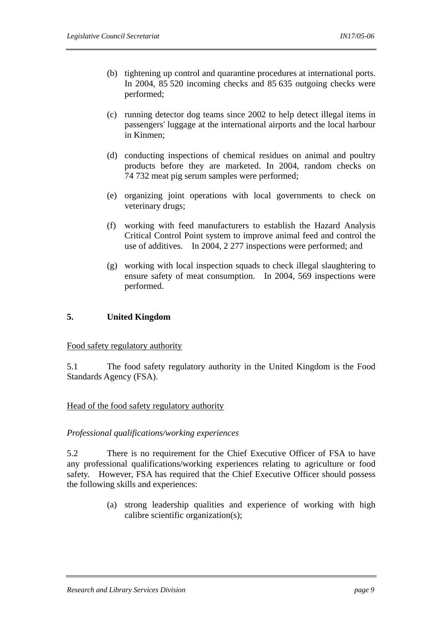- (b) tightening up control and quarantine procedures at international ports. In 2004, 85 520 incoming checks and 85 635 outgoing checks were performed;
- (c) running detector dog teams since 2002 to help detect illegal items in passengers' luggage at the international airports and the local harbour in Kinmen;
- (d) conducting inspections of chemical residues on animal and poultry products before they are marketed. In 2004, random checks on 74 732 meat pig serum samples were performed;
- (e) organizing joint operations with local governments to check on veterinary drugs;
- (f) working with feed manufacturers to establish the Hazard Analysis Critical Control Point system to improve animal feed and control the use of additives. In 2004, 2 277 inspections were performed; and
- (g) working with local inspection squads to check illegal slaughtering to ensure safety of meat consumption. In 2004, 569 inspections were performed.

# **5. United Kingdom**

#### Food safety regulatory authority

5.1 The food safety regulatory authority in the United Kingdom is the Food Standards Agency (FSA).

#### Head of the food safety regulatory authority

#### *Professional qualifications/working experiences*

5.2 There is no requirement for the Chief Executive Officer of FSA to have any professional qualifications/working experiences relating to agriculture or food safety. However, FSA has required that the Chief Executive Officer should possess the following skills and experiences:

> (a) strong leadership qualities and experience of working with high calibre scientific organization(s);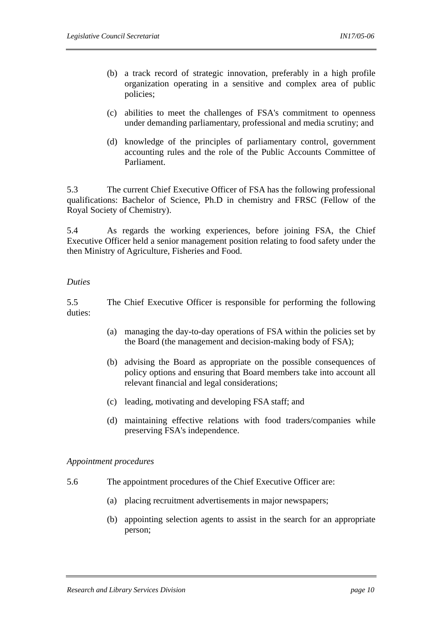- (b) a track record of strategic innovation, preferably in a high profile organization operating in a sensitive and complex area of public policies;
- (c) abilities to meet the challenges of FSA's commitment to openness under demanding parliamentary, professional and media scrutiny; and
- (d) knowledge of the principles of parliamentary control, government accounting rules and the role of the Public Accounts Committee of Parliament.

5.3 The current Chief Executive Officer of FSA has the following professional qualifications: Bachelor of Science, Ph.D in chemistry and FRSC (Fellow of the Royal Society of Chemistry).

5.4 As regards the working experiences, before joining FSA, the Chief Executive Officer held a senior management position relating to food safety under the then Ministry of Agriculture, Fisheries and Food.

#### *Duties*

5.5 The Chief Executive Officer is responsible for performing the following duties:

- (a) managing the day-to-day operations of FSA within the policies set by the Board (the management and decision-making body of FSA);
- (b) advising the Board as appropriate on the possible consequences of policy options and ensuring that Board members take into account all relevant financial and legal considerations;
- (c) leading, motivating and developing FSA staff; and
- (d) maintaining effective relations with food traders/companies while preserving FSA's independence.

#### *Appointment procedures*

- 5.6 The appointment procedures of the Chief Executive Officer are:
	- (a) placing recruitment advertisements in major newspapers;
	- (b) appointing selection agents to assist in the search for an appropriate person;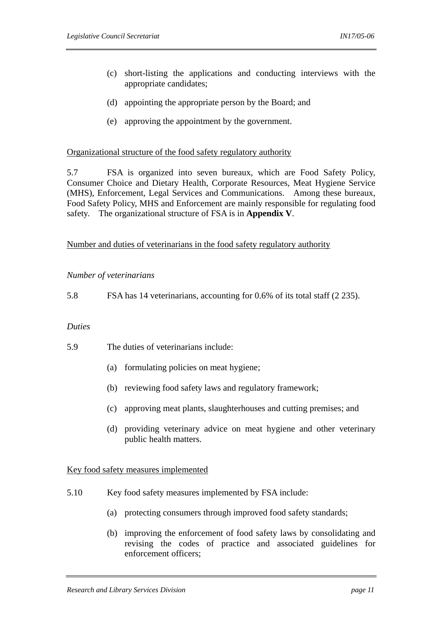- (c) short-listing the applications and conducting interviews with the appropriate candidates;
- (d) appointing the appropriate person by the Board; and
- (e) approving the appointment by the government.

#### Organizational structure of the food safety regulatory authority

5.7 FSA is organized into seven bureaux, which are Food Safety Policy, Consumer Choice and Dietary Health, Corporate Resources, Meat Hygiene Service (MHS), Enforcement, Legal Services and Communications. Among these bureaux, Food Safety Policy, MHS and Enforcement are mainly responsible for regulating food safety. The organizational structure of FSA is in **Appendix V**.

#### Number and duties of veterinarians in the food safety regulatory authority

#### *Number of veterinarians*

5.8 FSA has 14 veterinarians, accounting for 0.6% of its total staff (2 235).

#### *Duties*

5.9 The duties of veterinarians include:

- (a) formulating policies on meat hygiene;
- (b) reviewing food safety laws and regulatory framework;
- (c) approving meat plants, slaughterhouses and cutting premises; and
- (d) providing veterinary advice on meat hygiene and other veterinary public health matters.

#### Key food safety measures implemented

- 5.10 Key food safety measures implemented by FSA include:
	- (a) protecting consumers through improved food safety standards;
	- (b) improving the enforcement of food safety laws by consolidating and revising the codes of practice and associated guidelines for enforcement officers;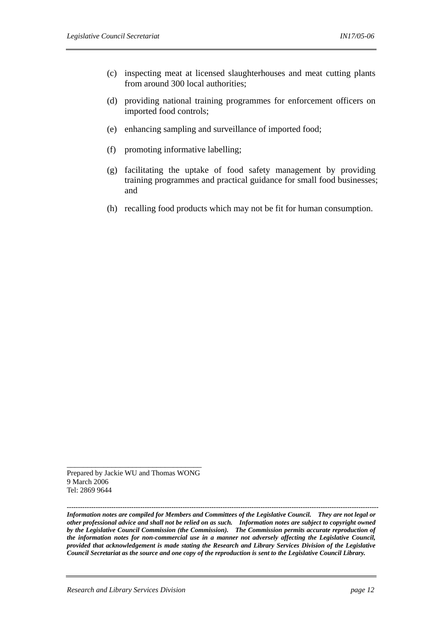- (c) inspecting meat at licensed slaughterhouses and meat cutting plants from around 300 local authorities;
- (d) providing national training programmes for enforcement officers on imported food controls;
- (e) enhancing sampling and surveillance of imported food;
- (f) promoting informative labelling;
- (g) facilitating the uptake of food safety management by providing training programmes and practical guidance for small food businesses; and
- (h) recalling food products which may not be fit for human consumption.

Prepared by Jackie WU and Thomas WONG 9 March 2006 Tel: 2869 9644

\_\_\_\_\_\_\_\_\_\_\_\_\_\_\_\_\_\_\_\_\_\_\_\_\_\_\_\_\_\_\_\_\_

*-------------------------------------------------------------------------------------------------------------------------------------------- Information notes are compiled for Members and Committees of the Legislative Council. They are not legal or other professional advice and shall not be relied on as such. Information notes are subject to copyright owned by the Legislative Council Commission (the Commission). The Commission permits accurate reproduction of the information notes for non-commercial use in a manner not adversely affecting the Legislative Council, provided that acknowledgement is made stating the Research and Library Services Division of the Legislative Council Secretariat as the source and one copy of the reproduction is sent to the Legislative Council Library.*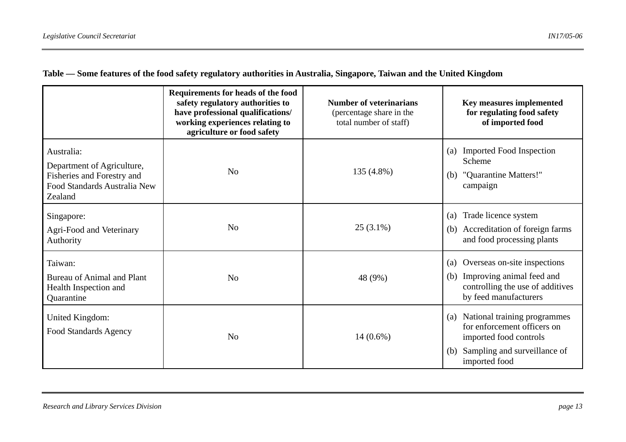|                                                                                                                   | Requirements for heads of the food<br>safety regulatory authorities to<br>have professional qualifications/<br>working experiences relating to<br>agriculture or food safety | <b>Number of veterinarians</b><br>(percentage share in the<br>total number of staff) | Key measures implemented<br>for regulating food safety<br>of imported food                                                                           |
|-------------------------------------------------------------------------------------------------------------------|------------------------------------------------------------------------------------------------------------------------------------------------------------------------------|--------------------------------------------------------------------------------------|------------------------------------------------------------------------------------------------------------------------------------------------------|
| Australia:<br>Department of Agriculture,<br>Fisheries and Forestry and<br>Food Standards Australia New<br>Zealand | N <sub>0</sub>                                                                                                                                                               | 135 (4.8%)                                                                           | (a) Imported Food Inspection<br>Scheme<br>"Quarantine Matters!"<br>(b)<br>campaign                                                                   |
| Singapore:<br>Agri-Food and Veterinary<br>Authority                                                               | N <sub>o</sub>                                                                                                                                                               | $25(3.1\%)$                                                                          | Trade licence system<br>(a)<br>(b) Accreditation of foreign farms<br>and food processing plants                                                      |
| Taiwan:<br>Bureau of Animal and Plant<br>Health Inspection and<br>Quarantine                                      | N <sub>o</sub>                                                                                                                                                               | 48 (9%)                                                                              | Overseas on-site inspections<br>(a)<br>Improving animal feed and<br>(b)<br>controlling the use of additives<br>by feed manufacturers                 |
| United Kingdom:<br><b>Food Standards Agency</b>                                                                   | N <sub>0</sub>                                                                                                                                                               | $14(0.6\%)$                                                                          | National training programmes<br>(a)<br>for enforcement officers on<br>imported food controls<br>Sampling and surveillance of<br>(b)<br>imported food |

**Table — Some features of the food safety regulatory authorities in Australia, Singapore, Taiwan and the United Kingdom**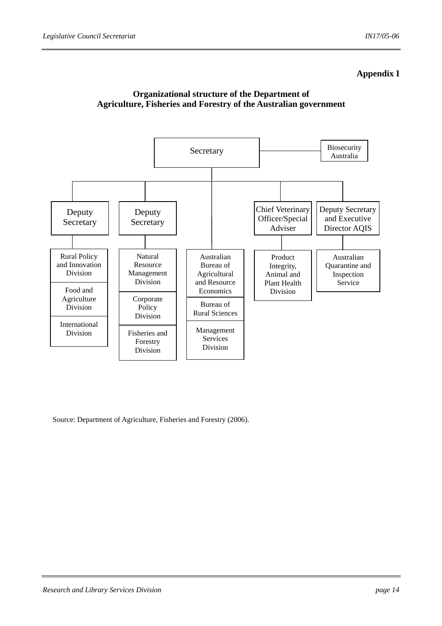# **Appendix I**





Source: Department of Agriculture, Fisheries and Forestry (2006).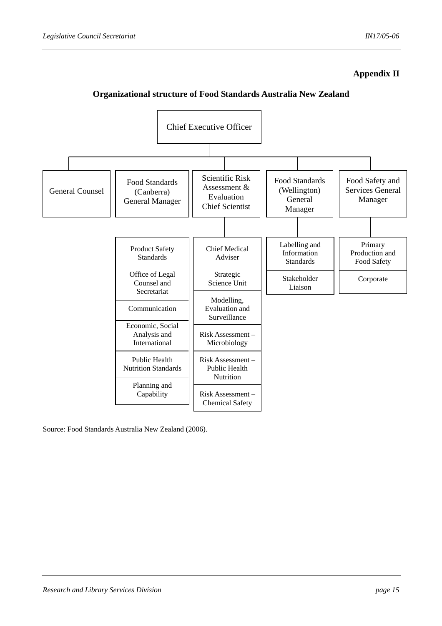# **Appendix II**

## **Organizational structure of Food Standards Australia New Zealand**



Source: Food Standards Australia New Zealand (2006).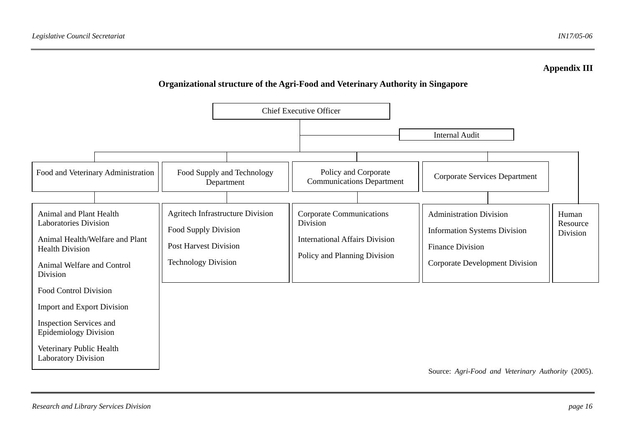## **Appendix III**

# **Organizational structure of the Agri-Food and Veterinary Authority in Singapore**



*Research and Library Services Division page 16*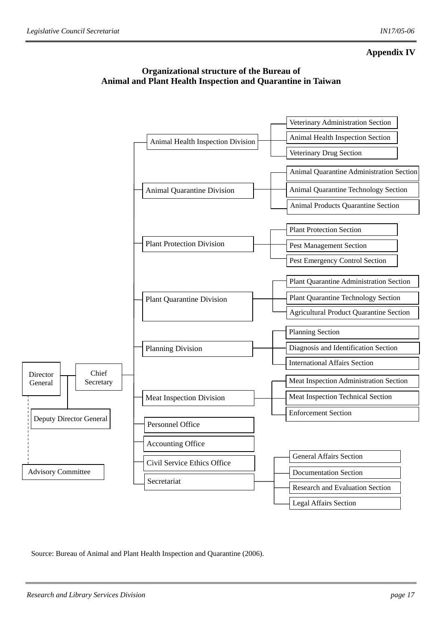# **Appendix IV**





Source: Bureau of Animal and Plant Health Inspection and Quarantine (2006).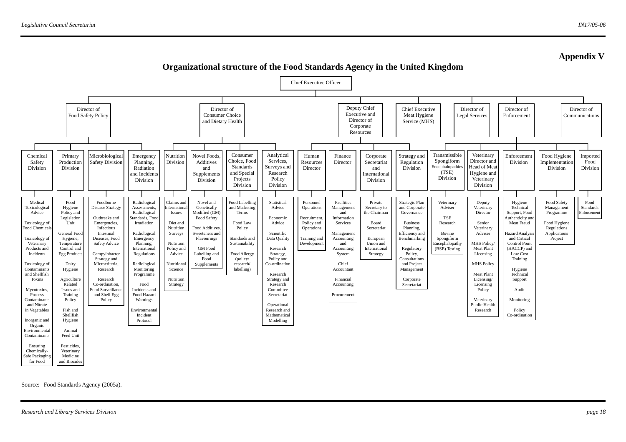

**Organizational structure of the Food Standards Agency in the United Kingdom** 

Source: Food Standards Agency (2005a).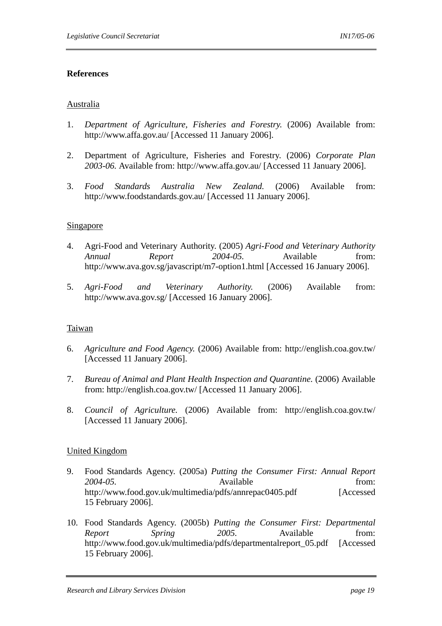## **References**

#### Australia

- 1. *Department of Agriculture, Fisheries and Forestry.* (2006) Available from: http://www.affa.gov.au/ [Accessed 11 January 2006].
- 2. Department of Agriculture, Fisheries and Forestry. (2006) *Corporate Plan 2003-06.* Available from: http://www.affa.gov.au/ [Accessed 11 January 2006].
- 3. *Food Standards Australia New Zealand.* (2006) Available from: http://www.foodstandards.gov.au/ [Accessed 11 January 2006].

## Singapore

- 4. Agri-Food and Veterinary Authority. (2005) *Agri-Food and Veterinary Authority Annual Report 2004-05.* Available from: http://www.ava.gov.sg/javascript/m7-option1.html [Accessed 16 January 2006].
- 5. *Agri-Food and Veterinary Authority.* (2006) Available from: http://www.ava.gov.sg/ [Accessed 16 January 2006].

#### Taiwan

- 6. *Agriculture and Food Agency.* (2006) Available from: http://english.coa.gov.tw/ [Accessed 11 January 2006].
- 7. *Bureau of Animal and Plant Health Inspection and Quarantine.* (2006) Available from: http://english.coa.gov.tw/ [Accessed 11 January 2006].
- 8. *Council of Agriculture.* (2006) Available from: http://english.coa.gov.tw/ [Accessed 11 January 2006].

# United Kingdom

- 9. Food Standards Agency. (2005a) *Putting the Consumer First: Annual Report 2004-05.* Available from: http://www.food.gov.uk/multimedia/pdfs/annrepac0405.pdf [Accessed] 15 February 2006].
- 10. Food Standards Agency. (2005b) *Putting the Consumer First: Departmental Report Spring* 2005. Available from: http://www.food.gov.uk/multimedia/pdfs/departmentalreport\_05.pdf [Accessed] 15 February 2006].